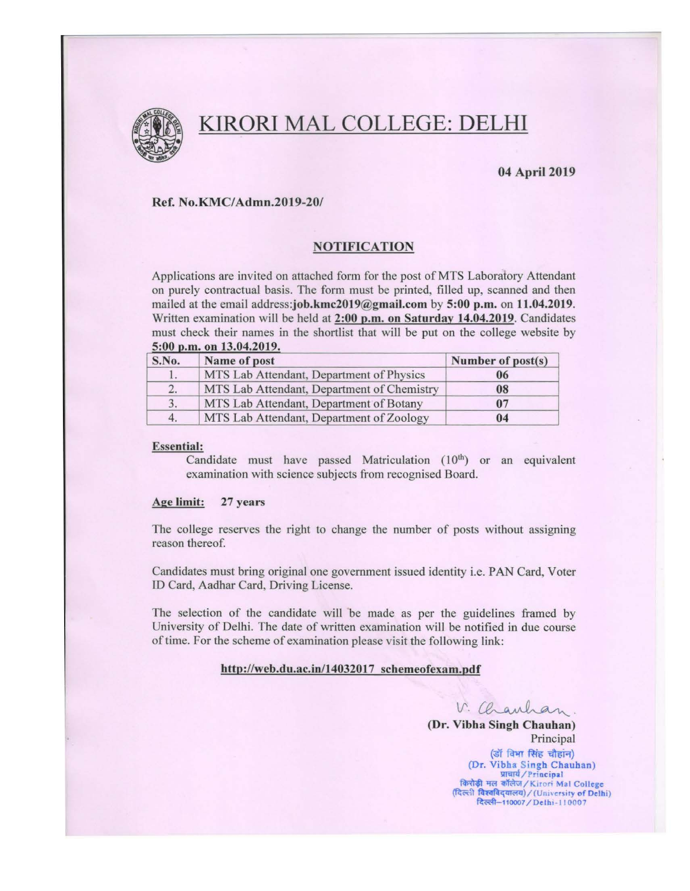

# KIRORI MAL COLLEGE: DELHI

# 04 April 2019

## Ref. No.KMC/Admn.2019-20/

#### NOTIFICATION

Applications are invited on attached form for the post of MTS Laboratory Attendant on purely contractual basis. The form must be printed, filled up, scanned and then mailed at the email address:job.kmc2019@gmail.com by 5:00 p.m. on 11.04.2019. Written examination will be held at 2:00 p.m. on Saturday 14.04.2019. Candidates must check their names in the shortlist that will be put on the college website by  $5:00$  p.m. on  $13.04.2019$ .

| S.No. | Name of post                               | Number of post(s) |
|-------|--------------------------------------------|-------------------|
|       | MTS Lab Attendant, Department of Physics   | 06                |
| 2.    | MTS Lab Attendant, Department of Chemistry | 08                |
| 3.    | MTS Lab Attendant, Department of Botany    | 07                |
| 4.    | MTS Lab Attendant, Department of Zoology   | 04                |

#### Essential:

Candidate must have passed Matriculation  $(10<sup>th</sup>)$  or an equivalent examination with science subjects from recognised Board.

#### Age limit: 27 years

The college reserves the right to change the number of posts without assigning reason thereof.

Candidates must bring original one government issued identity i.e. PAN Card, Voter ID Card, Aadhar Card, Driving License.

The selection of the candidate will be made as per the guidelines framed by University of Delhi. The date of written examination will be notified in due course of time. For the scheme of examination please visit the following link:

#### http://web.du.ac.in/14032017 schemeofexam.pdf

 $V.$  Charlson.

(Dr. Vibha Singh Chauhan) Principal

> (डॉ विभा सिंह चौहांन) *(Dr. Vibha Singh Chauhan)* ullal / Principal<br>| किरोड़ी मल कॉलेज / Kirori Mal College<br>|दिल्ली विश्वविद्यालय) / (University of Delhi) दिल्ली-110007 / Delhi-110007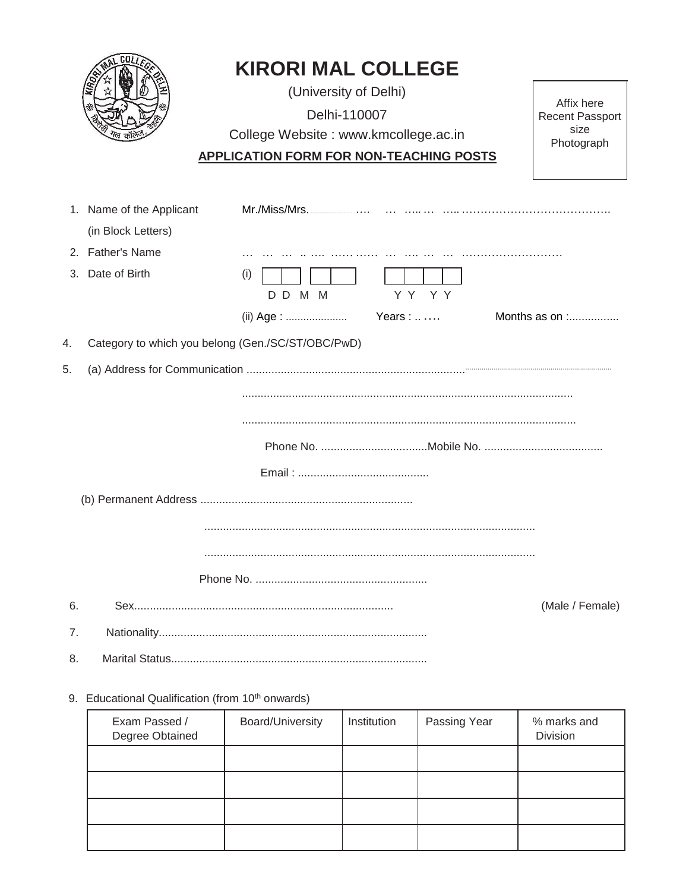|    |                          | <b>KIRORI MAL COLLEGE</b>                         |                        |
|----|--------------------------|---------------------------------------------------|------------------------|
|    |                          | (University of Delhi)                             | Affix here             |
|    |                          | Delhi-110007                                      | <b>Recent Passport</b> |
|    |                          | College Website: www.kmcollege.ac.in              | size<br>Photograph     |
|    |                          | <b>APPLICATION FORM FOR NON-TEACHING POSTS</b>    |                        |
|    |                          |                                                   |                        |
|    | 1. Name of the Applicant |                                                   |                        |
|    | (in Block Letters)       |                                                   |                        |
|    | 2. Father's Name         |                                                   |                        |
|    | 3. Date of Birth         | (i)<br>YY YY<br>DD M M                            |                        |
|    |                          |                                                   | Months as on $\ldots$  |
| 4. |                          | Category to which you belong (Gen./SC/ST/OBC/PwD) |                        |
| 5. |                          |                                                   |                        |
|    |                          |                                                   |                        |
|    |                          |                                                   |                        |
|    |                          |                                                   |                        |
|    |                          |                                                   |                        |
|    |                          |                                                   |                        |
|    |                          |                                                   |                        |
|    |                          |                                                   |                        |
|    |                          |                                                   |                        |
|    |                          |                                                   |                        |
|    |                          |                                                   |                        |
| 6. |                          |                                                   | (Male / Female)        |

- 6.
- 
- 8.

# 9. Educational Qualification (from 10<sup>th</sup> onwards)

 $\overline{7}$ .

| Exam Passed /<br>Degree Obtained | Board/University | Institution | Passing Year | % marks and<br>Division |
|----------------------------------|------------------|-------------|--------------|-------------------------|
|                                  |                  |             |              |                         |
|                                  |                  |             |              |                         |
|                                  |                  |             |              |                         |
|                                  |                  |             |              |                         |